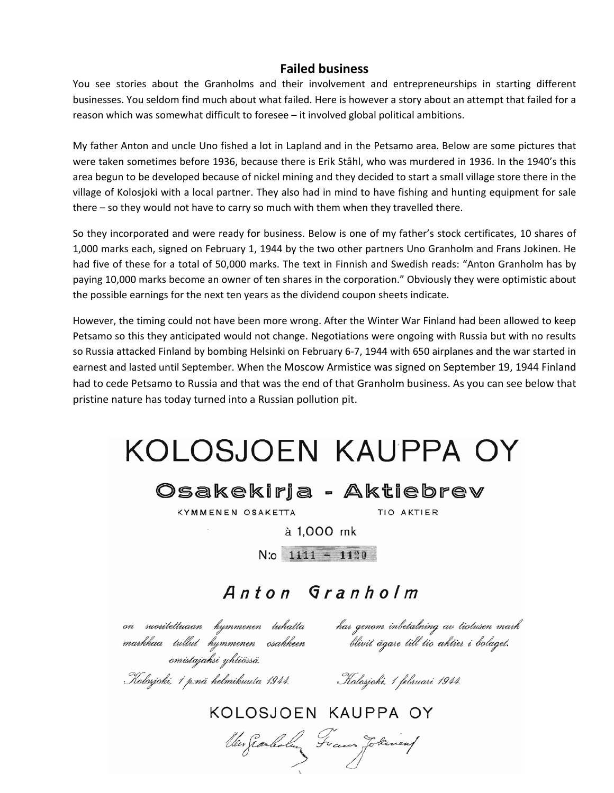## **Failed business**

You see stories about the Granholms and their involvement and entrepreneurships in starting different businesses. You seldom find much about what failed. Here is however a story about an attempt that failed for a reason which was somewhat difficult to foresee – it involved global political ambitions.

My father Anton and uncle Uno fished a lot in Lapland and in the Petsamo area. Below are some pictures that were taken sometimes before 1936, because there is Erik Ståhl, who was murdered in 1936. In the 1940's this area begun to be developed because of nickel mining and they decided to start a small village store there in the village of Kolosjoki with a local partner. They also had in mind to have fishing and hunting equipment for sale there – so they would not have to carry so much with them when they travelled there.

So they incorporated and were ready for business. Below is one of my father's stock certificates, 10 shares of 1,000 marks each, signed on February 1, 1944 by the two other partners Uno Granholm and Frans Jokinen. He had five of these for a total of 50,000 marks. The text in Finnish and Swedish reads: "Anton Granholm has by paying 10,000 marks become an owner of ten shares in the corporation." Obviously they were optimistic about the possible earnings for the next ten years as the dividend coupon sheets indicate.

However, the timing could not have been more wrong. After the Winter War Finland had been allowed to keep Petsamo so this they anticipated would not change. Negotiations were ongoing with Russia but with no results so Russia attacked Finland by bombing Helsinki on February 6-7, 1944 with 650 airplanes and the war started in earnest and lasted until September. When the Moscow Armistice was signed on September 19, 1944 Finland had to cede Petsamo to Russia and that was the end of that Granholm business. As you can see below that pristine nature has today turned into a Russian pollution pit.

| KOLOSJOEN KAUPPA OY                                                                                                                                                                 |
|-------------------------------------------------------------------------------------------------------------------------------------------------------------------------------------|
| Osakekirja - Aktiebrev<br>KYMMENEN OSAKETTA<br><b>TIO AKTIER</b><br>à 1,000 mk                                                                                                      |
| $N:o$ 1111 - 1120                                                                                                                                                                   |
| Anton Granholm                                                                                                                                                                      |
| har genom inbetalning av tiotusen mark<br>on suoritettuaan kymmenen tuhatta<br>markkaa tullut kymmenen osakkeen<br>blivit ägare till tio aktier i bolaget.<br>omistajaksi yhtiössä. |
| Kolosjoki, 1 p.nä helmikuuta 1944.<br>Kolosjoki, 1 februari 1944.                                                                                                                   |
| KOLOSJOEN KAUPPA OY                                                                                                                                                                 |

Mer gearlesling Fram Johnson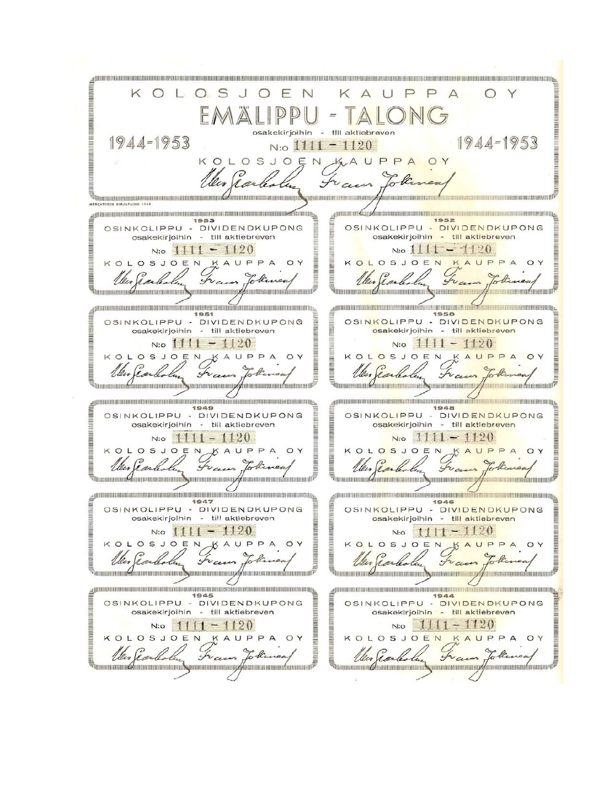OLOSJOEN KAUPPA  $\ltimes$ ∩ Y osakekirjoihin - till aktiebreven  $1944 - 1953$  $1944 - 1953$  $N:o$   $1111 - 1120$ KOLOSJOEN KAUPPA OY E managaman kaleng kaleng kaleng kaleng kaleng kaleng kaleng kaleng kaleng kaleng kaleng kaleng kaleng kaleng kaleng kaleng kaleng kaleng kaleng kaleng kaleng kaleng kaleng kaleng kaleng kaleng kaleng kaleng kaleng kaleng incommunication in the communication of the communication contractions and a contraction and a contraction of the contraction of the contraction of the contraction of the contraction of the contract of the contract of the contract of the contract of the contract of the contract o 1952 1953 OSINKOLIPPU - DIVIDENDKUPONG<br>
osakekirjoihin - till aktiebreven OSINKOLIPPU - DIVIDENDKUPONG osakekirjoihin - till aktiebreven  $N:$  1111 – 1120  $N_{10}$  1111 - 120 KOLOSJOEN KAUPPA OY KOLOSJOEN KAUPPA OY  $\sqrt{2}$ fre fr E Zee paartaman yhdysvaltaisen mannang mga mangang panggal sa mangang kalawang mangang kalawang mangang manga e provincia de la completación de la construcción de la construcción de la construcción de la construcción de l OSINKOLIPPU - DIVIDENDKUPONG OSINKOLIPPU - DIVIDENDKUPONG osakekirjoihin - till aktiebreven osakekirjoihin - till aktiebreven  $N:$  1111 - 1120 N:  $1111 - 1120$ Ko Jeanlaly Tuce OEN KAUPPA KOLOSJOEN KAUPPA OY OY  $\mathcal{F}\!\mathit{v}\alpha$ Stancement of communication and specification and state and state and state and state of the **TARRA DE LA CONSTANTIA DE LA CALIFACIÓN DE LA CALIFACIÓN DE LA CALIFACIÓN DE LA CALIFACIÓN DE LA CALIFACIÓN DE** a promoto a composito de la componenta del composición de la composición de la composición de la composición de g pompono na neopotrasta na matematica na monte na matematica na matematica na matematica na monte de 1949 OSINKOLIPPU - DIVIDENDKUPONG OSINKOLIPPU - DIVIDENDKUPONG osakekirjoihin - till aktlebreven osakekirjoihin - till aktiebreven N:  $111 - 1120$  $N:$  1111 - 1120 KOLOSJOEN KAUPPA OY KOLOSJOEN KAUPPA OY S. <u>Баланаанышы «Аналанаанышыны жунанаанаана<mark>аны у</mark>урананаанын аналанаанын а</u> haanamamuu <del>Ga</del>nnane ammaanamamuu isymmamaananaana qeafamaranananamuu ammaamua mi<sup>6</sup> and a construction and a control of the control of the control of the control of the control of the control of the control of the control of the control of the control of the control of the control of the control of the co .<br>. Eleccional de la composition de la componentation de la composition de la composition de la composition de l 1947 1946 OSINKOLIPPU - DIVIDENDKUPONG OSINKOLIPPU - DIVIDENDKUPONG osakekirjoihin - till aktiebreven osakekirjoihin - till aktiebreven N:  $111 - 1120$ N:  $111 - 1120$ KOLOSJOEN KAUPPA OY KOLOSJOEN KAUPPA  $\mathcal{F}\nu_c$ ammananan <del>Ga</del>nnananan manananan Syanananananan gayaran na nanananananananananan **ANTIONAL AND ANTIOXICAL AND ANTIQUE OF CALCULAR AND** a promotonom na sena nomena a menom a motor comenzante de constructo de la comenzante de la comenzante del pro **COMMUNICATIONS CONTINUES AND DESCRIPTION** 1944<br>OSINKOLIPPU - DIVIDENDKUPONG 1945 OSINKOLIPPU - DIVIDENDKUPONG **THE REPORT OF STATES OF A STATE OF A STATE** osakekirjoihin - till aktiebreven osakekirjoihin - till aktiebreven N<sub>io</sub>  $1111 - 1120$ N:  $111 - 1120$ KOLOSJOEN KAUPPA OY KOLOSJOEN KAUPPA OY fra frau Stemmannum Kharonannum sanan Repontannum manang/funannum annan fannannum **Thannonummer Annoncommunication Symmanication and property in an amount of the communication**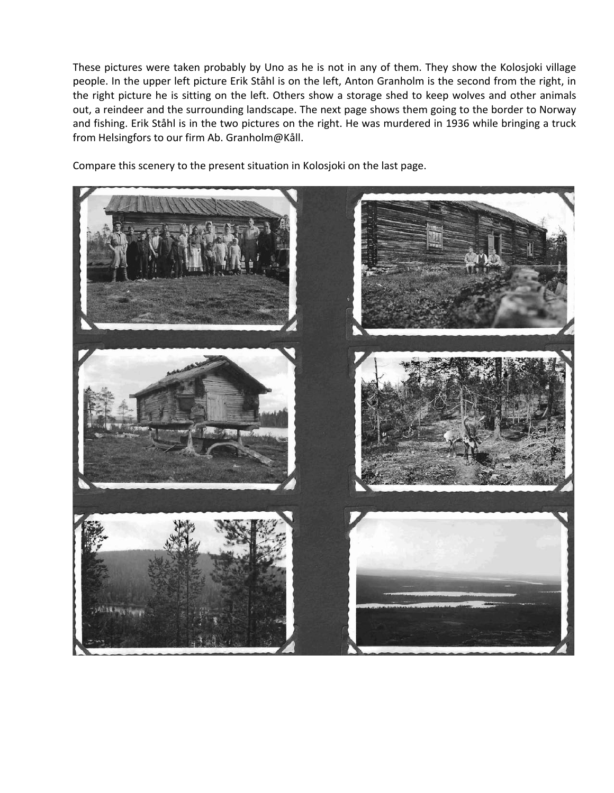These pictures were taken probably by Uno as he is not in any of them. They show the Kolosjoki village people. In the upper left picture Erik Ståhl is on the left, Anton Granholm is the second from the right, in the right picture he is sitting on the left. Others show a storage shed to keep wolves and other animals out, a reindeer and the surrounding landscape. The next page shows them going to the border to Norway and fishing. Erik Ståhl is in the two pictures on the right. He was murdered in 1936 while bringing a truck from Helsingfors to our firm Ab. Granholm@Kåll.

Compare this scenery to the present situation in Kolosjoki on the last page.

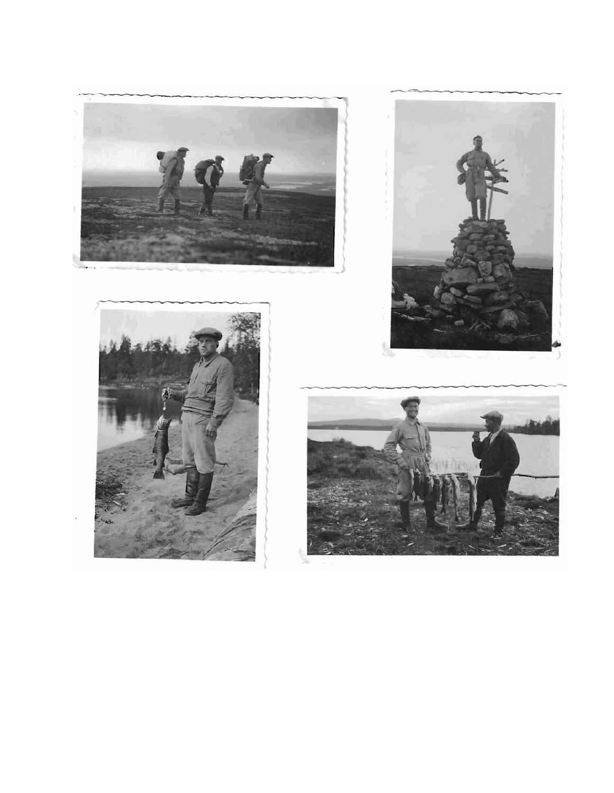